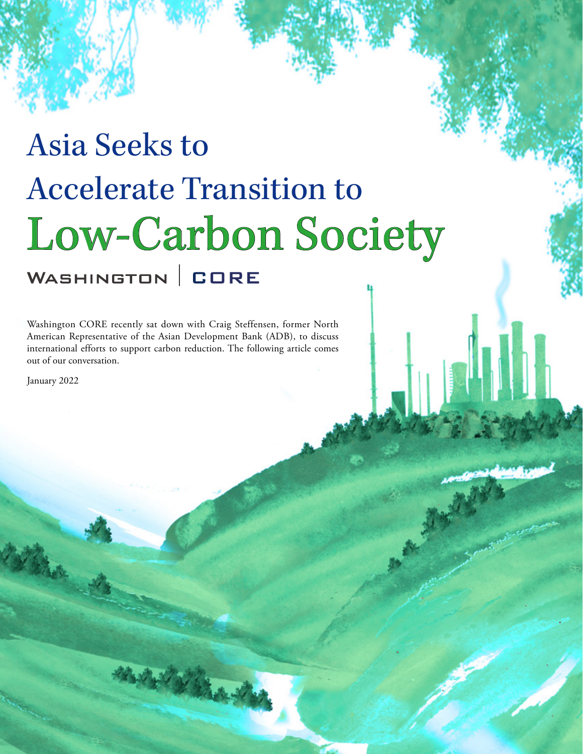# Asia Seeks to Accelerate Transition to Low-Carbon Society

Washington CORE recently sat down with Craig Steffensen, former North American Representative of the Asian Development Bank (ADB), to discuss international efforts to support carbon reduction. The following article comes out of our conversation.

January 2022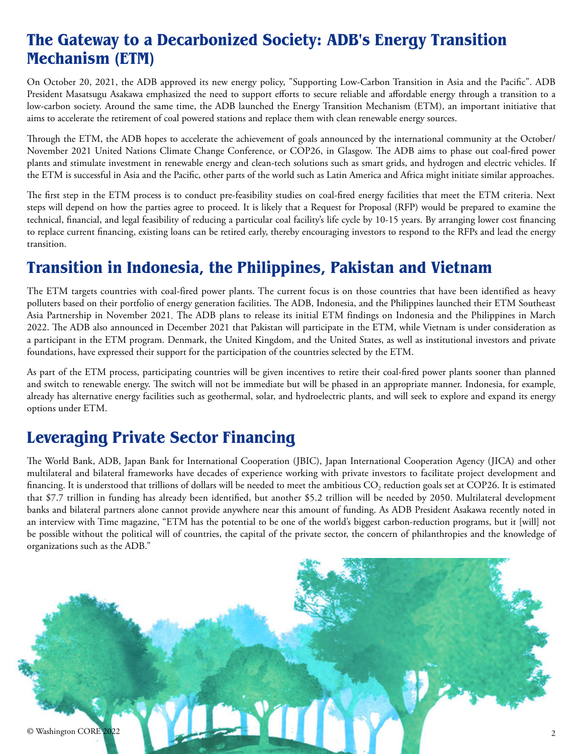## **The Gateway to a Decarbonized Society: ADB's Energy Transition Mechanism (ETM)**

On October 20, 2021, the ADB approved its new energy policy, "Supporting Low-Carbon Transition in Asia and the Pacific". ADB President Masatsugu Asakawa emphasized the need to support efforts to secure reliable and affordable energy through a transition to a low-carbon society. Around the same time, the ADB launched the Energy Transition Mechanism (ETM), an important initiative that aims to accelerate the retirement of coal powered stations and replace them with clean renewable energy sources.

Through the ETM, the ADB hopes to accelerate the achievement of goals announced by the international community at the October/ November 2021 United Nations Climate Change Conference, or COP26, in Glasgow. The ADB aims to phase out coal-fired power plants and stimulate investment in renewable energy and clean-tech solutions such as smart grids, and hydrogen and electric vehicles. If the ETM is successful in Asia and the Pacific, other parts of the world such as Latin America and Africa might initiate similar approaches.

The first step in the ETM process is to conduct pre-feasibility studies on coal-fired energy facilities that meet the ETM criteria. Next steps will depend on how the parties agree to proceed. It is likely that a Request for Proposal (RFP) would be prepared to examine the technical, financial, and legal feasibility of reducing a particular coal facility's life cycle by 10-15 years. By arranging lower cost financing to replace current financing, existing loans can be retired early, thereby encouraging investors to respond to the RFPs and lead the energy transition.

# **Transition in Indonesia, the Philippines, Pakistan and Vietnam**

The ETM targets countries with coal-fired power plants. The current focus is on those countries that have been identified as heavy polluters based on their portfolio of energy generation facilities. The ADB, Indonesia, and the Philippines launched their ETM Southeast Asia Partnership in November 2021. The ADB plans to release its initial ETM findings on Indonesia and the Philippines in March 2022. The ADB also announced in December 2021 that Pakistan will participate in the ETM, while Vietnam is under consideration as a participant in the ETM program. Denmark, the United Kingdom, and the United States, as well as institutional investors and private foundations, have expressed their support for the participation of the countries selected by the ETM.

As part of the ETM process, participating countries will be given incentives to retire their coal-fired power plants sooner than planned and switch to renewable energy. The switch will not be immediate but will be phased in an appropriate manner. Indonesia, for example, already has alternative energy facilities such as geothermal, solar, and hydroelectric plants, and will seek to explore and expand its energy options under ETM.

# **Leveraging Private Sector Financing**

The World Bank, ADB, Japan Bank for International Cooperation (JBIC), Japan International Cooperation Agency (JICA) and other multilateral and bilateral frameworks have decades of experience working with private investors to facilitate project development and financing. It is understood that trillions of dollars will be needed to meet the ambitious  $CO<sub>2</sub>$  reduction goals set at COP26. It is estimated that \$7.7 trillion in funding has already been identified, but another \$5.2 trillion will be needed by 2050. Multilateral development banks and bilateral partners alone cannot provide anywhere near this amount of funding. As ADB President Asakawa recently noted in an interview with Time magazine, "ETM has the potential to be one of the world's biggest carbon-reduction programs, but it [will] not be possible without the political will of countries, the capital of the private sector, the concern of philanthropies and the knowledge of organizations such as the ADB."